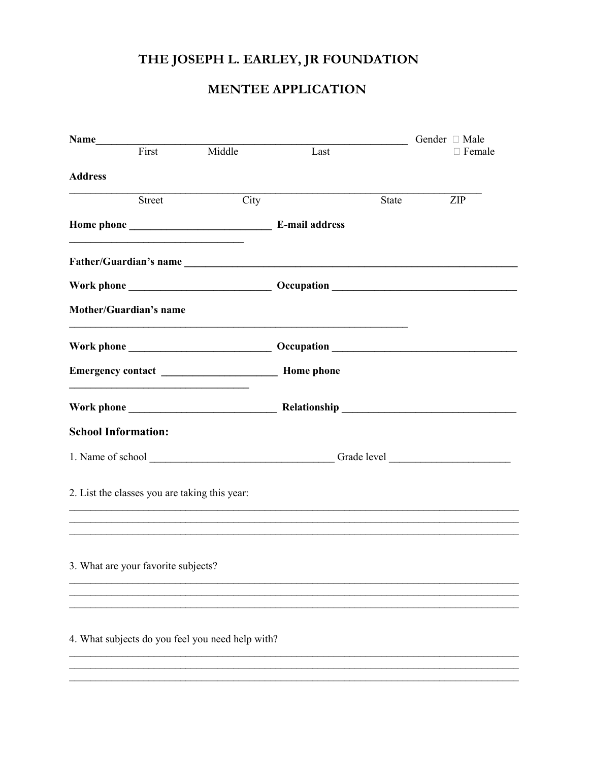# THE JOSEPH L. EARLEY, JR FOUNDATION

## **MENTEE APPLICATION**

|                            |                                               |                                                  |                                                                                                                                                                                                                                      |              | Gender □ Male |
|----------------------------|-----------------------------------------------|--------------------------------------------------|--------------------------------------------------------------------------------------------------------------------------------------------------------------------------------------------------------------------------------------|--------------|---------------|
|                            | $\overline{\text{First}}$                     | Middle                                           | Last                                                                                                                                                                                                                                 |              | $\Box$ Female |
| <b>Address</b>             |                                               |                                                  |                                                                                                                                                                                                                                      |              |               |
|                            | Street                                        | City                                             |                                                                                                                                                                                                                                      | <b>State</b> | ZIP           |
|                            |                                               |                                                  |                                                                                                                                                                                                                                      |              |               |
|                            |                                               |                                                  |                                                                                                                                                                                                                                      |              |               |
|                            |                                               |                                                  |                                                                                                                                                                                                                                      |              |               |
|                            | <b>Mother/Guardian's name</b>                 |                                                  |                                                                                                                                                                                                                                      |              |               |
| Work phone                 |                                               |                                                  | Occupation <b>Department of the Contract of the Contract of the Contract of the Contract of the Contract of the Contract of the Contract of the Contract of the Contract of the Contract of the Contract of the Contract of the </b> |              |               |
|                            |                                               |                                                  |                                                                                                                                                                                                                                      |              |               |
|                            |                                               |                                                  |                                                                                                                                                                                                                                      |              |               |
| <b>School Information:</b> |                                               |                                                  |                                                                                                                                                                                                                                      |              |               |
|                            |                                               |                                                  |                                                                                                                                                                                                                                      |              |               |
|                            | 2. List the classes you are taking this year: |                                                  |                                                                                                                                                                                                                                      |              |               |
|                            |                                               |                                                  |                                                                                                                                                                                                                                      |              |               |
|                            | 3. What are your favorite subjects?           |                                                  |                                                                                                                                                                                                                                      |              |               |
|                            |                                               |                                                  |                                                                                                                                                                                                                                      |              |               |
|                            |                                               | 4. What subjects do you feel you need help with? |                                                                                                                                                                                                                                      |              |               |
|                            |                                               |                                                  |                                                                                                                                                                                                                                      |              |               |